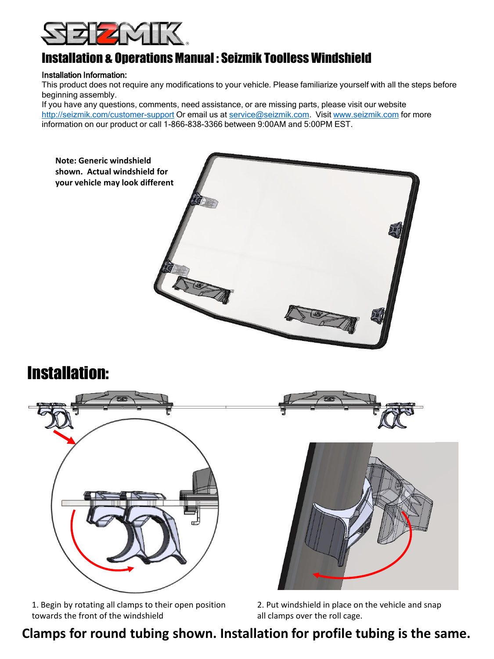

#### Installation & Operations Manual : Seizmik Toolless Windshield

#### Installation Information:

This product does not require any modifications to your vehicle. Please familiarize yourself with all the steps before beginning assembly.

If you have any questions, comments, need assistance, or are missing parts, please visit our website <http://seizmik.com/customer-support> Or email us at [service@seizmik.com](mailto:support@seizmik.com). Visit [www.seizmik.com](http://www.seizmik.com/) for more information on our product or call 1-866-838-3366 between 9:00AM and 5:00PM EST.



# Installation:



1. Begin by rotating all clamps to their open position towards the front of the windshield

2. Put windshield in place on the vehicle and snap all clamps over the roll cage.

## **Clamps for round tubing shown. Installation for profile tubing is the same.**